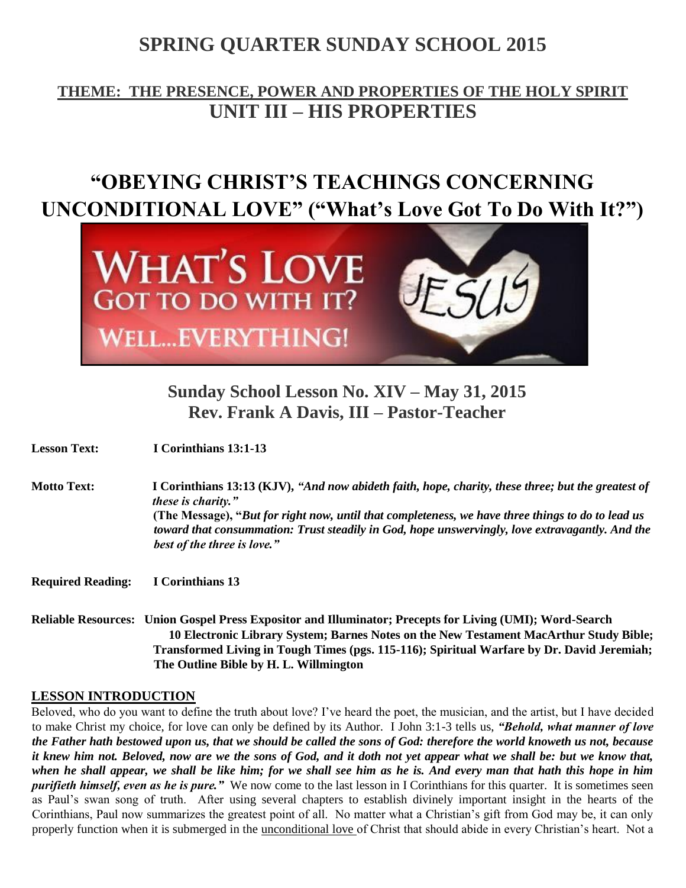# **SPRING QUARTER SUNDAY SCHOOL 2015**

# **THEME: THE PRESENCE, POWER AND PROPERTIES OF THE HOLY SPIRIT UNIT III – HIS PROPERTIES**

# **"OBEYING CHRIST'S TEACHINGS CONCERNING UNCONDITIONAL LOVE" ("What's Love Got To Do With It?")**



# **Sunday School Lesson No. XIV – May 31, 2015 Rev. Frank A Davis, III – Pastor-Teacher**

| <b>Lesson Text:</b>      | I Corinthians 13:1-13                                                                                                                                                                                                                                                                                                                                                   |
|--------------------------|-------------------------------------------------------------------------------------------------------------------------------------------------------------------------------------------------------------------------------------------------------------------------------------------------------------------------------------------------------------------------|
| <b>Motto Text:</b>       | I Corinthians 13:13 (KJV), "And now abideth faith, hope, charity, these three; but the greatest of<br><i>these is charity.</i> "<br>(The Message), "But for right now, until that completeness, we have three things to do to lead us<br>toward that consummation: Trust steadily in God, hope unswervingly, love extravagantly. And the<br>best of the three is love." |
| <b>Required Reading:</b> | I Corinthians 13                                                                                                                                                                                                                                                                                                                                                        |
|                          | Reliable Resources: Union Gospel Press Expositor and Illuminator; Precepts for Living (UMI); Word-Search<br>10 Electronic Library System; Barnes Notes on the New Testament MacArthur Study Bible;<br>Transformed Living in Tough Times (pgs. 115-116); Spiritual Warfare by Dr. David Jeremiah;                                                                        |

## **LESSON INTRODUCTION**

Beloved, who do you want to define the truth about love? I've heard the poet, the musician, and the artist, but I have decided to make Christ my choice, for love can only be defined by its Author. I John 3:1-3 tells us, *"Behold, what manner of love the Father hath bestowed upon us, that we should be called the sons of God: therefore the world knoweth us not, because it knew him not. Beloved, now are we the sons of God, and it doth not yet appear what we shall be: but we know that, when he shall appear, we shall be like him; for we shall see him as he is. And every man that hath this hope in him purifieth himself, even as he is pure."* We now come to the last lesson in I Corinthians for this quarter. It is sometimes seen as Paul's swan song of truth. After using several chapters to establish divinely important insight in the hearts of the Corinthians, Paul now summarizes the greatest point of all. No matter what a Christian's gift from God may be, it can only properly function when it is submerged in the unconditional love of Christ that should abide in every Christian's heart. Not a

**The Outline Bible by H. L. Willmington**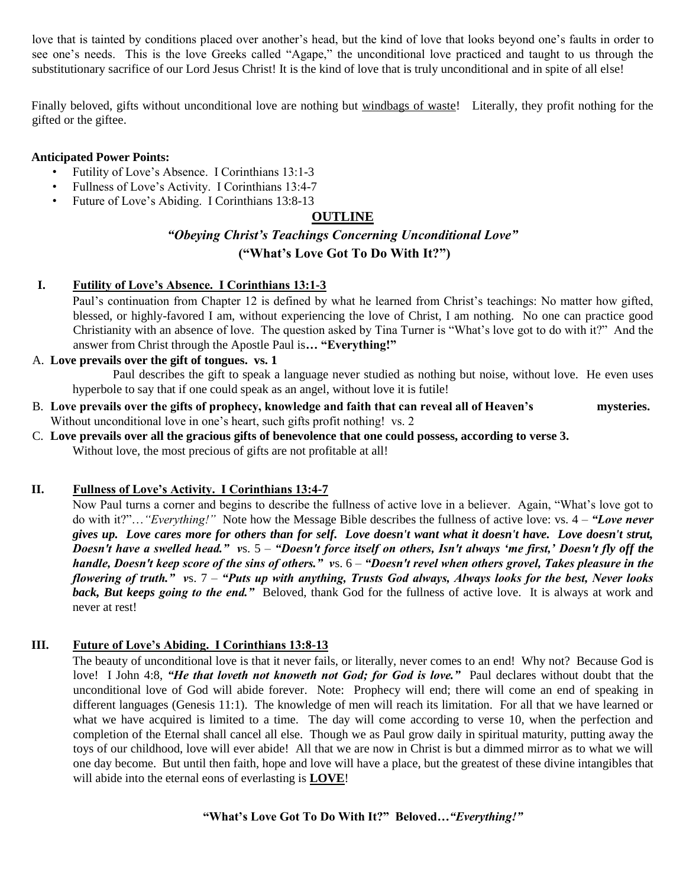love that is tainted by conditions placed over another's head, but the kind of love that looks beyond one's faults in order to see one's needs. This is the love Greeks called "Agape," the unconditional love practiced and taught to us through the substitutionary sacrifice of our Lord Jesus Christ! It is the kind of love that is truly unconditional and in spite of all else!

Finally beloved, gifts without unconditional love are nothing but windbags of waste! Literally, they profit nothing for the gifted or the giftee.

## **Anticipated Power Points:**

- Futility of Love's Absence. I Corinthians 13:1-3
- Fullness of Love's Activity. I Corinthians 13:4-7
- Future of Love's Abiding. I Corinthians 13:8-13

## **OUTLINE**

# *"Obeying Christ's Teachings Concerning Unconditional Love"*  **("What's Love Got To Do With It?")**

## **I. Futility of Love's Absence. I Corinthians 13:1-3**

Paul's continuation from Chapter 12 is defined by what he learned from Christ's teachings: No matter how gifted, blessed, or highly-favored I am, without experiencing the love of Christ, I am nothing. No one can practice good Christianity with an absence of love. The question asked by Tina Turner is "What's love got to do with it?" And the answer from Christ through the Apostle Paul is**… "Everything!"** 

#### A. **Love prevails over the gift of tongues. vs. 1**

Paul describes the gift to speak a language never studied as nothing but noise, without love. He even uses hyperbole to say that if one could speak as an angel, without love it is futile!

- B. **Love prevails over the gifts of prophecy, knowledge and faith that can reveal all of Heaven's mysteries.**  Without unconditional love in one's heart, such gifts profit nothing! vs. 2
- C. **Love prevails over all the gracious gifts of benevolence that one could possess, according to verse 3.**  Without love, the most precious of gifts are not profitable at all!

#### **II. Fullness of Love's Activity. I Corinthians 13:4-7**

Now Paul turns a corner and begins to describe the fullness of active love in a believer. Again, "What's love got to do with it?"…*"Everything!"* Note how the Message Bible describes the fullness of active love: vs. 4 – *"Love never gives up. Love cares more for others than for self. Love doesn't want what it doesn't have. Love doesn't strut, Doesn't have a swelled head." v*s. 5 – *"Doesn't force itself on others, Isn't always 'me first,' Doesn't fly off the handle, Doesn't keep score of the sins of others." v*s. 6 – *"Doesn't revel when others grovel, Takes pleasure in the flowering of truth." v*s. 7 – *"Puts up with anything, Trusts God always, Always looks for the best, Never looks back, But keeps going to the end."* Beloved, thank God for the fullness of active love. It is always at work and never at rest!

#### **III. Future of Love's Abiding. I Corinthians 13:8-13**

The beauty of unconditional love is that it never fails, or literally, never comes to an end! Why not? Because God is love! I John 4:8, "He that loveth not knoweth not God; for God is love." Paul declares without doubt that the unconditional love of God will abide forever. Note: Prophecy will end; there will come an end of speaking in different languages (Genesis 11:1). The knowledge of men will reach its limitation. For all that we have learned or what we have acquired is limited to a time. The day will come according to verse 10, when the perfection and completion of the Eternal shall cancel all else. Though we as Paul grow daily in spiritual maturity, putting away the toys of our childhood, love will ever abide! All that we are now in Christ is but a dimmed mirror as to what we will one day become. But until then faith, hope and love will have a place, but the greatest of these divine intangibles that will abide into the eternal eons of everlasting is **LOVE**!

**"What's Love Got To Do With It?" Beloved***…"Everything!"*